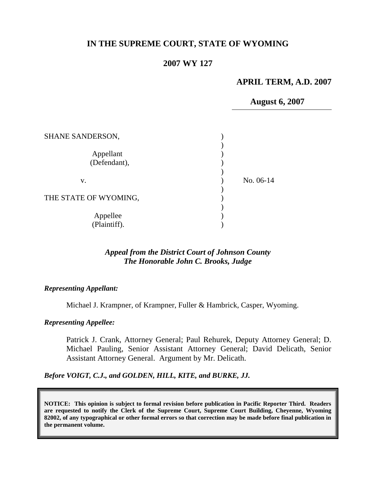# **IN THE SUPREME COURT, STATE OF WYOMING**

### **2007 WY 127**

## **APRIL TERM, A.D. 2007**

**August 6, 2007**

| <b>SHANE SANDERSON,</b>   |           |
|---------------------------|-----------|
| Appellant<br>(Defendant), |           |
| V.                        | No. 06-14 |
| THE STATE OF WYOMING,     |           |
| Appellee<br>(Plaintiff).  |           |

## *Appeal from the District Court of Johnson County The Honorable John C. Brooks, Judge*

#### *Representing Appellant:*

Michael J. Krampner, of Krampner, Fuller & Hambrick, Casper, Wyoming.

#### *Representing Appellee:*

Patrick J. Crank, Attorney General; Paul Rehurek, Deputy Attorney General; D. Michael Pauling, Senior Assistant Attorney General; David Delicath, Senior Assistant Attorney General. Argument by Mr. Delicath.

*Before VOIGT, C.J., and GOLDEN, HILL, KITE, and BURKE, JJ.*

**NOTICE: This opinion is subject to formal revision before publication in Pacific Reporter Third. Readers are requested to notify the Clerk of the Supreme Court, Supreme Court Building, Cheyenne, Wyoming 82002, of any typographical or other formal errors so that correction may be made before final publication in the permanent volume.**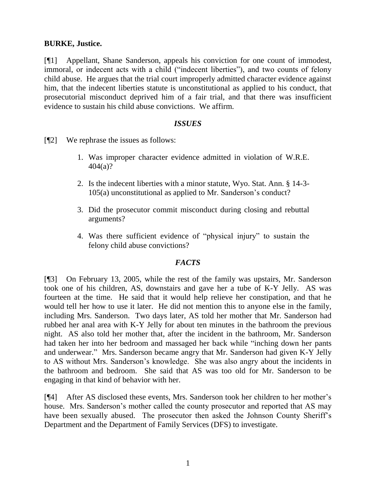## **BURKE, Justice.**

[¶1] Appellant, Shane Sanderson, appeals his conviction for one count of immodest, immoral, or indecent acts with a child ("indecent liberties"), and two counts of felony child abuse. He argues that the trial court improperly admitted character evidence against him, that the indecent liberties statute is unconstitutional as applied to his conduct, that prosecutorial misconduct deprived him of a fair trial, and that there was insufficient evidence to sustain his child abuse convictions. We affirm.

### *ISSUES*

[¶2] We rephrase the issues as follows:

- 1. Was improper character evidence admitted in violation of W.R.E. 404(a)?
- 2. Is the indecent liberties with a minor statute, Wyo. Stat. Ann. § 14-3- 105(a) unconstitutional as applied to Mr. Sanderson"s conduct?
- 3. Did the prosecutor commit misconduct during closing and rebuttal arguments?
- 4. Was there sufficient evidence of "physical injury" to sustain the felony child abuse convictions?

### *FACTS*

[¶3] On February 13, 2005, while the rest of the family was upstairs, Mr. Sanderson took one of his children, AS, downstairs and gave her a tube of K-Y Jelly. AS was fourteen at the time. He said that it would help relieve her constipation, and that he would tell her how to use it later. He did not mention this to anyone else in the family, including Mrs. Sanderson. Two days later, AS told her mother that Mr. Sanderson had rubbed her anal area with K-Y Jelly for about ten minutes in the bathroom the previous night. AS also told her mother that, after the incident in the bathroom, Mr. Sanderson had taken her into her bedroom and massaged her back while "inching down her pants and underwear." Mrs. Sanderson became angry that Mr. Sanderson had given K-Y Jelly to AS without Mrs. Sanderson"s knowledge. She was also angry about the incidents in the bathroom and bedroom. She said that AS was too old for Mr. Sanderson to be engaging in that kind of behavior with her.

[¶4] After AS disclosed these events, Mrs. Sanderson took her children to her mother"s house. Mrs. Sanderson"s mother called the county prosecutor and reported that AS may have been sexually abused. The prosecutor then asked the Johnson County Sheriff's Department and the Department of Family Services (DFS) to investigate.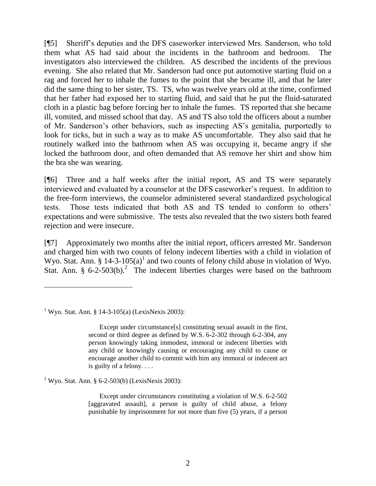[¶5] Sheriff"s deputies and the DFS caseworker interviewed Mrs. Sanderson, who told them what AS had said about the incidents in the bathroom and bedroom. The investigators also interviewed the children. AS described the incidents of the previous evening. She also related that Mr. Sanderson had once put automotive starting fluid on a rag and forced her to inhale the fumes to the point that she became ill, and that he later did the same thing to her sister, TS. TS, who was twelve years old at the time, confirmed that her father had exposed her to starting fluid, and said that he put the fluid-saturated cloth in a plastic bag before forcing her to inhale the fumes. TS reported that she became ill, vomited, and missed school that day. AS and TS also told the officers about a number of Mr. Sanderson"s other behaviors, such as inspecting AS"s genitalia, purportedly to look for ticks, but in such a way as to make AS uncomfortable. They also said that he routinely walked into the bathroom when AS was occupying it, became angry if she locked the bathroom door, and often demanded that AS remove her shirt and show him the bra she was wearing.

[¶6] Three and a half weeks after the initial report, AS and TS were separately interviewed and evaluated by a counselor at the DFS caseworker's request. In addition to the free-form interviews, the counselor administered several standardized psychological tests. Those tests indicated that both AS and TS tended to conform to others" expectations and were submissive. The tests also revealed that the two sisters both feared rejection and were insecure.

[¶7] Approximately two months after the initial report, officers arrested Mr. Sanderson and charged him with two counts of felony indecent liberties with a child in violation of Wyo. Stat. Ann. § 14-3-105(a)<sup>1</sup> and two counts of felony child abuse in violation of Wyo. Stat. Ann. §  $6-2-503(b)$ .<sup>2</sup> The indecent liberties charges were based on the bathroom

 $\overline{a}$ 

 $2$  Wyo. Stat. Ann. § 6-2-503(b) (LexisNexis 2003):

Except under circumstances constituting a violation of W.S. 6-2-502 [aggravated assault], a person is guilty of child abuse, a felony punishable by imprisonment for not more than five (5) years, if a person

<sup>&</sup>lt;sup>1</sup> Wyo. Stat. Ann. § 14-3-105(a) (LexisNexis 2003):

Except under circumstance[s] constituting sexual assault in the first, second or third degree as defined by W.S. 6-2-302 through 6-2-304, any person knowingly taking immodest, immoral or indecent liberties with any child or knowingly causing or encouraging any child to cause or encourage another child to commit with him any immoral or indecent act is guilty of a felony. . . .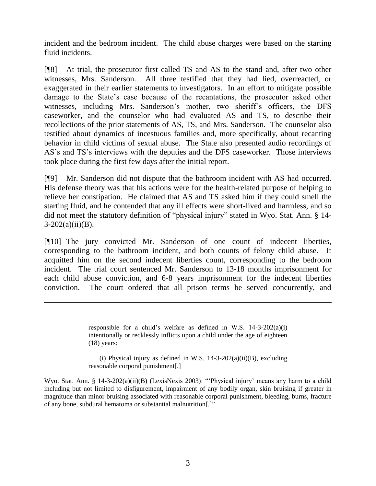incident and the bedroom incident. The child abuse charges were based on the starting fluid incidents.

[¶8] At trial, the prosecutor first called TS and AS to the stand and, after two other witnesses, Mrs. Sanderson. All three testified that they had lied, overreacted, or exaggerated in their earlier statements to investigators. In an effort to mitigate possible damage to the State's case because of the recantations, the prosecutor asked other witnesses, including Mrs. Sanderson's mother, two sheriff's officers, the DFS caseworker, and the counselor who had evaluated AS and TS, to describe their recollections of the prior statements of AS, TS, and Mrs. Sanderson. The counselor also testified about dynamics of incestuous families and, more specifically, about recanting behavior in child victims of sexual abuse. The State also presented audio recordings of AS"s and TS"s interviews with the deputies and the DFS caseworker. Those interviews took place during the first few days after the initial report.

[¶9] Mr. Sanderson did not dispute that the bathroom incident with AS had occurred. His defense theory was that his actions were for the health-related purpose of helping to relieve her constipation. He claimed that AS and TS asked him if they could smell the starting fluid, and he contended that any ill effects were short-lived and harmless, and so did not meet the statutory definition of "physical injury" stated in Wyo. Stat. Ann. § 14-  $3-202(a)(ii)(B)$ .

[¶10] The jury convicted Mr. Sanderson of one count of indecent liberties, corresponding to the bathroom incident, and both counts of felony child abuse. It acquitted him on the second indecent liberties count, corresponding to the bedroom incident. The trial court sentenced Mr. Sanderson to 13-18 months imprisonment for each child abuse conviction, and 6-8 years imprisonment for the indecent liberties conviction. The court ordered that all prison terms be served concurrently, and

> responsible for a child's welfare as defined in W.S.  $14-3-202(a)(i)$ intentionally or recklessly inflicts upon a child under the age of eighteen  $(18)$  years:

 $\overline{a}$ 

(i) Physical injury as defined in W.S.  $14-3-202(a)(ii)(B)$ , excluding reasonable corporal punishment[.]

Wyo. Stat. Ann. § 14-3-202(a)(ii)(B) (LexisNexis 2003): "'Physical injury' means any harm to a child including but not limited to disfigurement, impairment of any bodily organ, skin bruising if greater in magnitude than minor bruising associated with reasonable corporal punishment, bleeding, burns, fracture of any bone, subdural hematoma or substantial malnutrition[.]"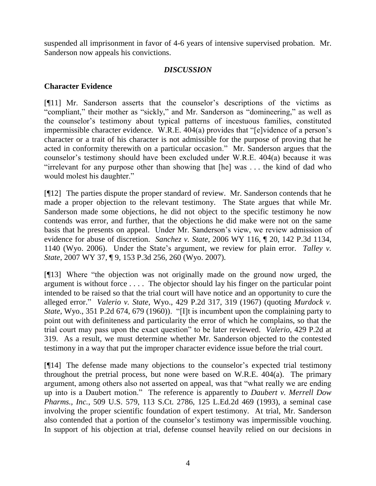suspended all imprisonment in favor of 4-6 years of intensive supervised probation. Mr. Sanderson now appeals his convictions.

# *DISCUSSION*

# **Character Evidence**

[¶11] Mr. Sanderson asserts that the counselor"s descriptions of the victims as "compliant," their mother as "sickly," and Mr. Sanderson as "domineering," as well as the counselor"s testimony about typical patterns of incestuous families, constituted impermissible character evidence. W.R.E. 404(a) provides that "[e]vidence of a person's character or a trait of his character is not admissible for the purpose of proving that he acted in conformity therewith on a particular occasion." Mr. Sanderson argues that the counselor"s testimony should have been excluded under W.R.E. 404(a) because it was "irrelevant for any purpose other than showing that [he] was . . . the kind of dad who would molest his daughter."

[¶12] The parties dispute the proper standard of review. Mr. Sanderson contends that he made a proper objection to the relevant testimony. The State argues that while Mr. Sanderson made some objections, he did not object to the specific testimony he now contends was error, and further, that the objections he did make were not on the same basis that he presents on appeal. Under Mr. Sanderson"s view, we review admission of evidence for abuse of discretion. *Sanchez v. State*, 2006 WY 116, ¶ 20, 142 P.3d 1134, 1140 (Wyo. 2006). Under the State"s argument, we review for plain error. *Talley v. State*, 2007 WY 37, ¶ 9, 153 P.3d 256, 260 (Wyo. 2007).

[¶13] Where "the objection was not originally made on the ground now urged, the argument is without force . . . . The objector should lay his finger on the particular point intended to be raised so that the trial court will have notice and an opportunity to cure the alleged error." *Valerio v. State*, Wyo., 429 P.2d 317, 319 (1967) (quoting *Murdock v. State*, Wyo., 351 P.2d 674, 679 (1960)). "[I]t is incumbent upon the complaining party to point out with definiteness and particularity the error of which he complains, so that the trial court may pass upon the exact question" to be later reviewed. *Valerio*, 429 P.2d at 319. As a result, we must determine whether Mr. Sanderson objected to the contested testimony in a way that put the improper character evidence issue before the trial court.

[¶14] The defense made many objections to the counselor"s expected trial testimony throughout the pretrial process, but none were based on W.R.E. 404(a). The primary argument, among others also not asserted on appeal, was that "what really we are ending up into is a Daubert motion." The reference is apparently to *Daubert v. Merrell Dow Pharms., Inc.*, 509 U.S. 579, 113 S.Ct. 2786, 125 L.Ed.2d 469 (1993), a seminal case involving the proper scientific foundation of expert testimony. At trial, Mr. Sanderson also contended that a portion of the counselor's testimony was impermissible vouching. In support of his objection at trial, defense counsel heavily relied on our decisions in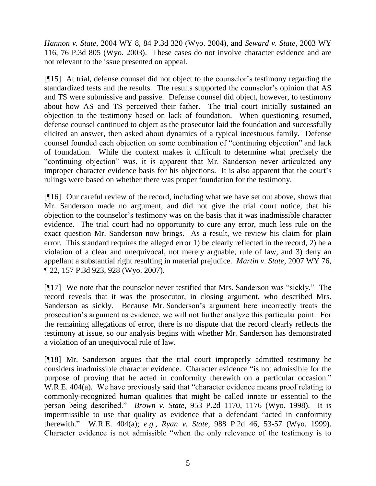*Hannon v. State*, 2004 WY 8, 84 P.3d 320 (Wyo. 2004), and *Seward v. State*, 2003 WY 116, 76 P.3d 805 (Wyo. 2003). These cases do not involve character evidence and are not relevant to the issue presented on appeal.

[¶15] At trial, defense counsel did not object to the counselor"s testimony regarding the standardized tests and the results. The results supported the counselor's opinion that AS and TS were submissive and passive. Defense counsel did object, however, to testimony about how AS and TS perceived their father. The trial court initially sustained an objection to the testimony based on lack of foundation. When questioning resumed, defense counsel continued to object as the prosecutor laid the foundation and successfully elicited an answer, then asked about dynamics of a typical incestuous family. Defense counsel founded each objection on some combination of "continuing objection" and lack of foundation. While the context makes it difficult to determine what precisely the "continuing objection" was, it is apparent that Mr. Sanderson never articulated any improper character evidence basis for his objections. It is also apparent that the court's rulings were based on whether there was proper foundation for the testimony.

[¶16] Our careful review of the record, including what we have set out above, shows that Mr. Sanderson made no argument, and did not give the trial court notice, that his objection to the counselor"s testimony was on the basis that it was inadmissible character evidence. The trial court had no opportunity to cure any error, much less rule on the exact question Mr. Sanderson now brings. As a result, we review his claim for plain error. This standard requires the alleged error 1) be clearly reflected in the record, 2) be a violation of a clear and unequivocal, not merely arguable, rule of law, and 3) deny an appellant a substantial right resulting in material prejudice. *Martin v. State*, 2007 WY 76, ¶ 22, 157 P.3d 923, 928 (Wyo. 2007).

[¶17] We note that the counselor never testified that Mrs. Sanderson was "sickly." The record reveals that it was the prosecutor, in closing argument, who described Mrs. Sanderson as sickly. Because Mr. Sanderson's argument here incorrectly treats the prosecution"s argument as evidence, we will not further analyze this particular point. For the remaining allegations of error, there is no dispute that the record clearly reflects the testimony at issue, so our analysis begins with whether Mr. Sanderson has demonstrated a violation of an unequivocal rule of law.

[¶18] Mr. Sanderson argues that the trial court improperly admitted testimony he considers inadmissible character evidence. Character evidence "is not admissible for the purpose of proving that he acted in conformity therewith on a particular occasion." W.R.E. 404(a). We have previously said that "character evidence means proof relating to commonly-recognized human qualities that might be called innate or essential to the person being described." *Brown v. State*, 953 P.2d 1170, 1176 (Wyo. 1998). It is impermissible to use that quality as evidence that a defendant "acted in conformity therewith." W.R.E. 404(a); *e.g.*, *Ryan v. State*, 988 P.2d 46, 53-57 (Wyo. 1999). Character evidence is not admissible "when the only relevance of the testimony is to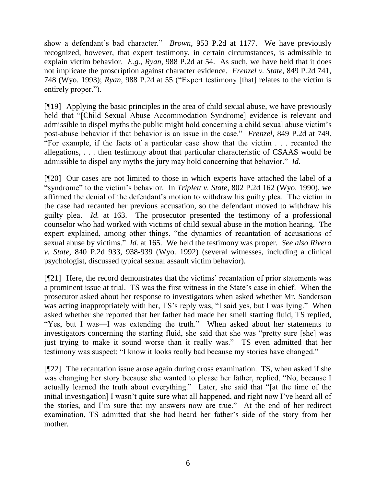show a defendant's bad character." *Brown*, 953 P.2d at 1177. We have previously recognized, however, that expert testimony, in certain circumstances, is admissible to explain victim behavior. *E.g.*, *Ryan*, 988 P.2d at 54. As such, we have held that it does not implicate the proscription against character evidence. *Frenzel v. State*, 849 P.2d 741, 748 (Wyo. 1993); *Ryan*, 988 P.2d at 55 ("Expert testimony [that] relates to the victim is entirely proper.").

[¶19] Applying the basic principles in the area of child sexual abuse, we have previously held that "[Child Sexual Abuse Accommodation Syndrome] evidence is relevant and admissible to dispel myths the public might hold concerning a child sexual abuse victim"s post-abuse behavior if that behavior is an issue in the case." *Frenzel*, 849 P.2d at 749. "For example, if the facts of a particular case show that the victim . . . recanted the allegations, . . . then testimony about that particular characteristic of CSAAS would be admissible to dispel any myths the jury may hold concerning that behavior." *Id.*

[¶20] Our cases are not limited to those in which experts have attached the label of a "syndrome" to the victim"s behavior. In *Triplett v. State*, 802 P.2d 162 (Wyo. 1990), we affirmed the denial of the defendant"s motion to withdraw his guilty plea. The victim in the case had recanted her previous accusation, so the defendant moved to withdraw his guilty plea. *Id.* at 163. The prosecutor presented the testimony of a professional counselor who had worked with victims of child sexual abuse in the motion hearing. The expert explained, among other things, "the dynamics of recantation of accusations of sexual abuse by victims." *Id.* at 165. We held the testimony was proper. *See also Rivera v. State*, 840 P.2d 933, 938-939 (Wyo. 1992) (several witnesses, including a clinical psychologist, discussed typical sexual assault victim behavior).

[¶21] Here, the record demonstrates that the victims' recantation of prior statements was a prominent issue at trial. TS was the first witness in the State"s case in chief. When the prosecutor asked about her response to investigators when asked whether Mr. Sanderson was acting inappropriately with her, TS's reply was, "I said yes, but I was lying." When asked whether she reported that her father had made her smell starting fluid, TS replied, "Yes, but I was—I was extending the truth." When asked about her statements to investigators concerning the starting fluid, she said that she was "pretty sure [she] was just trying to make it sound worse than it really was." TS even admitted that her testimony was suspect: "I know it looks really bad because my stories have changed."

[¶22] The recantation issue arose again during cross examination. TS, when asked if she was changing her story because she wanted to please her father, replied, "No, because I actually learned the truth about everything." Later, she said that "[at the time of the initial investigation] I wasn't quite sure what all happened, and right now I've heard all of the stories, and I"m sure that my answers now are true." At the end of her redirect examination, TS admitted that she had heard her father"s side of the story from her mother.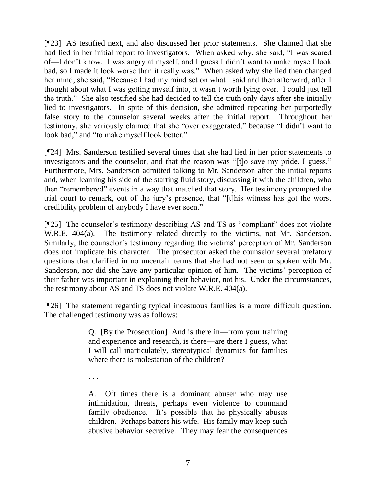[¶23] AS testified next, and also discussed her prior statements. She claimed that she had lied in her initial report to investigators. When asked why, she said, "I was scared of—I don"t know. I was angry at myself, and I guess I didn"t want to make myself look bad, so I made it look worse than it really was." When asked why she lied then changed her mind, she said, "Because I had my mind set on what I said and then afterward, after I thought about what I was getting myself into, it wasn"t worth lying over. I could just tell the truth." She also testified she had decided to tell the truth only days after she initially lied to investigators. In spite of this decision, she admitted repeating her purportedly false story to the counselor several weeks after the initial report. Throughout her testimony, she variously claimed that she "over exaggerated," because "I didn"t want to look bad," and "to make myself look better."

[¶24] Mrs. Sanderson testified several times that she had lied in her prior statements to investigators and the counselor, and that the reason was "[t]o save my pride, I guess." Furthermore, Mrs. Sanderson admitted talking to Mr. Sanderson after the initial reports and, when learning his side of the starting fluid story, discussing it with the children, who then "remembered" events in a way that matched that story. Her testimony prompted the trial court to remark, out of the jury"s presence, that "[t]his witness has got the worst credibility problem of anybody I have ever seen."

[¶25] The counselor's testimony describing AS and TS as "compliant" does not violate W.R.E. 404(a). The testimony related directly to the victims, not Mr. Sanderson. Similarly, the counselor's testimony regarding the victims' perception of Mr. Sanderson does not implicate his character. The prosecutor asked the counselor several prefatory questions that clarified in no uncertain terms that she had not seen or spoken with Mr. Sanderson, nor did she have any particular opinion of him. The victims' perception of their father was important in explaining their behavior, not his. Under the circumstances, the testimony about AS and TS does not violate W.R.E. 404(a).

[¶26] The statement regarding typical incestuous families is a more difficult question. The challenged testimony was as follows:

> Q. [By the Prosecution] And is there in—from your training and experience and research, is there—are there I guess, what I will call inarticulately, stereotypical dynamics for families where there is molestation of the children?

. . .

A. Oft times there is a dominant abuser who may use intimidation, threats, perhaps even violence to command family obedience. It's possible that he physically abuses children. Perhaps batters his wife. His family may keep such abusive behavior secretive. They may fear the consequences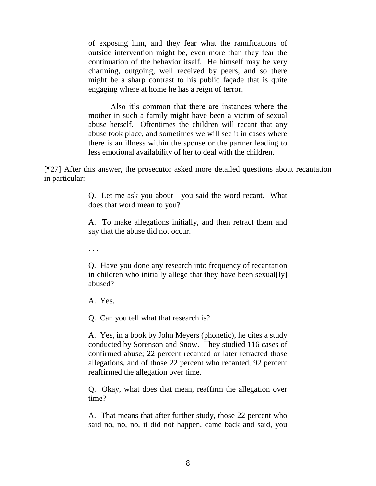of exposing him, and they fear what the ramifications of outside intervention might be, even more than they fear the continuation of the behavior itself. He himself may be very charming, outgoing, well received by peers, and so there might be a sharp contrast to his public façade that is quite engaging where at home he has a reign of terror.

Also it's common that there are instances where the mother in such a family might have been a victim of sexual abuse herself. Oftentimes the children will recant that any abuse took place, and sometimes we will see it in cases where there is an illness within the spouse or the partner leading to less emotional availability of her to deal with the children.

[¶27] After this answer, the prosecutor asked more detailed questions about recantation in particular:

> Q. Let me ask you about—you said the word recant. What does that word mean to you?

> A. To make allegations initially, and then retract them and say that the abuse did not occur.

. . .

Q. Have you done any research into frequency of recantation in children who initially allege that they have been sexual[ly] abused?

A. Yes.

Q. Can you tell what that research is?

A. Yes, in a book by John Meyers (phonetic), he cites a study conducted by Sorenson and Snow. They studied 116 cases of confirmed abuse; 22 percent recanted or later retracted those allegations, and of those 22 percent who recanted, 92 percent reaffirmed the allegation over time.

Q. Okay, what does that mean, reaffirm the allegation over time?

A. That means that after further study, those 22 percent who said no, no, no, it did not happen, came back and said, you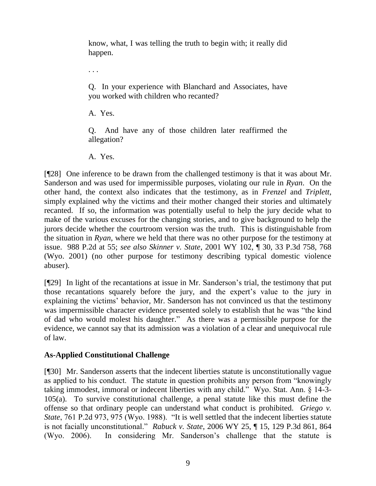know, what, I was telling the truth to begin with; it really did happen.

. . .

Q. In your experience with Blanchard and Associates, have you worked with children who recanted?

A. Yes.

Q. And have any of those children later reaffirmed the allegation?

A. Yes.

[¶28] One inference to be drawn from the challenged testimony is that it was about Mr. Sanderson and was used for impermissible purposes, violating our rule in *Ryan*. On the other hand, the context also indicates that the testimony, as in *Frenzel* and *Triplett*, simply explained why the victims and their mother changed their stories and ultimately recanted. If so, the information was potentially useful to help the jury decide what to make of the various excuses for the changing stories, and to give background to help the jurors decide whether the courtroom version was the truth. This is distinguishable from the situation in *Ryan*, where we held that there was no other purpose for the testimony at issue. 988 P.2d at 55; *see also Skinner v. State*, 2001 WY 102, ¶ 30, 33 P.3d 758, 768 (Wyo. 2001) (no other purpose for testimony describing typical domestic violence abuser).

[¶29] In light of the recantations at issue in Mr. Sanderson"s trial, the testimony that put those recantations squarely before the jury, and the expert"s value to the jury in explaining the victims' behavior, Mr. Sanderson has not convinced us that the testimony was impermissible character evidence presented solely to establish that he was "the kind of dad who would molest his daughter." As there was a permissible purpose for the evidence, we cannot say that its admission was a violation of a clear and unequivocal rule of law.

# **As-Applied Constitutional Challenge**

[¶30] Mr. Sanderson asserts that the indecent liberties statute is unconstitutionally vague as applied to his conduct. The statute in question prohibits any person from "knowingly taking immodest, immoral or indecent liberties with any child." Wyo. Stat. Ann. § 14-3- 105(a). To survive constitutional challenge, a penal statute like this must define the offense so that ordinary people can understand what conduct is prohibited. *Griego v. State*, 761 P.2d 973, 975 (Wyo. 1988). "It is well settled that the indecent liberties statute is not facially unconstitutional." *Rabuck v. State*, 2006 WY 25, ¶ 15, 129 P.3d 861, 864 (Wyo. 2006). In considering Mr. Sanderson"s challenge that the statute is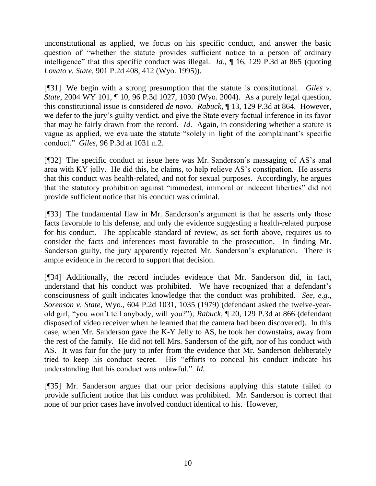unconstitutional as applied, we focus on his specific conduct, and answer the basic question of "whether the statute provides sufficient notice to a person of ordinary intelligence" that this specific conduct was illegal. *Id.*, ¶ 16, 129 P.3d at 865 (quoting *Lovato v. State*, 901 P.2d 408, 412 (Wyo. 1995)).

[¶31] We begin with a strong presumption that the statute is constitutional. *Giles v. State*, 2004 WY 101, ¶ 10, 96 P.3d 1027, 1030 (Wyo. 2004). As a purely legal question, this constitutional issue is considered *de novo*. *Rabuck*, ¶ 13, 129 P.3d at 864. However, we defer to the jury"s guilty verdict, and give the State every factual inference in its favor that may be fairly drawn from the record. *Id*. Again, in considering whether a statute is vague as applied, we evaluate the statute "solely in light of the complainant's specific conduct." *Giles*, 96 P.3d at 1031 n.2.

[¶32] The specific conduct at issue here was Mr. Sanderson"s massaging of AS"s anal area with KY jelly. He did this, he claims, to help relieve AS"s constipation. He asserts that this conduct was health-related, and not for sexual purposes. Accordingly, he argues that the statutory prohibition against "immodest, immoral or indecent liberties" did not provide sufficient notice that his conduct was criminal.

[¶33] The fundamental flaw in Mr. Sanderson's argument is that he asserts only those facts favorable to his defense, and only the evidence suggesting a health-related purpose for his conduct. The applicable standard of review, as set forth above, requires us to consider the facts and inferences most favorable to the prosecution. In finding Mr. Sanderson guilty, the jury apparently rejected Mr. Sanderson's explanation. There is ample evidence in the record to support that decision.

[¶34] Additionally, the record includes evidence that Mr. Sanderson did, in fact, understand that his conduct was prohibited. We have recognized that a defendant's consciousness of guilt indicates knowledge that the conduct was prohibited. *See*, *e.g.*, *Sorenson v. State*, Wyo., 604 P.2d 1031, 1035 (1979) (defendant asked the twelve-yearold girl, "you won"t tell anybody, will you?"); *Rabuck*, ¶ 20, 129 P.3d at 866 (defendant disposed of video receiver when he learned that the camera had been discovered). In this case, when Mr. Sanderson gave the K-Y Jelly to AS, he took her downstairs, away from the rest of the family. He did not tell Mrs. Sanderson of the gift, nor of his conduct with AS. It was fair for the jury to infer from the evidence that Mr. Sanderson deliberately tried to keep his conduct secret. His "efforts to conceal his conduct indicate his understanding that his conduct was unlawful." *Id.*

[¶35] Mr. Sanderson argues that our prior decisions applying this statute failed to provide sufficient notice that his conduct was prohibited. Mr. Sanderson is correct that none of our prior cases have involved conduct identical to his. However,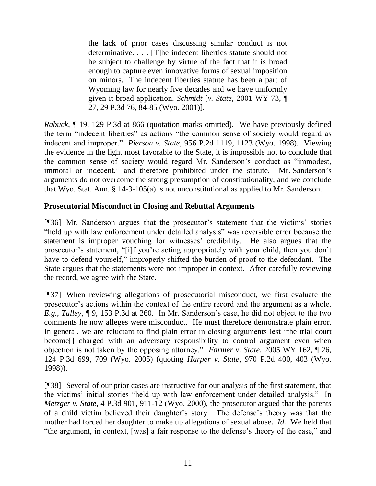the lack of prior cases discussing similar conduct is not determinative. . . . [T]he indecent liberties statute should not be subject to challenge by virtue of the fact that it is broad enough to capture even innovative forms of sexual imposition on minors. The indecent liberties statute has been a part of Wyoming law for nearly five decades and we have uniformly given it broad application. *Schmidt* [*v. State*, 2001 WY 73, ¶ 27, 29 P.3d 76, 84-85 (Wyo. 2001)].

*Rabuck*, ¶ 19, 129 P.3d at 866 (quotation marks omitted). We have previously defined the term "indecent liberties" as actions "the common sense of society would regard as indecent and improper." *Pierson v. State*, 956 P.2d 1119, 1123 (Wyo. 1998). Viewing the evidence in the light most favorable to the State, it is impossible not to conclude that the common sense of society would regard Mr. Sanderson's conduct as "immodest, immoral or indecent," and therefore prohibited under the statute. Mr. Sanderson's arguments do not overcome the strong presumption of constitutionality, and we conclude that Wyo. Stat. Ann. § 14-3-105(a) is not unconstitutional as applied to Mr. Sanderson.

# **Prosecutorial Misconduct in Closing and Rebuttal Arguments**

[¶36] Mr. Sanderson argues that the prosecutor's statement that the victims' stories "held up with law enforcement under detailed analysis" was reversible error because the statement is improper vouching for witnesses' credibility. He also argues that the prosecutor's statement, "[i]f you're acting appropriately with your child, then you don't have to defend yourself," improperly shifted the burden of proof to the defendant. The State argues that the statements were not improper in context. After carefully reviewing the record, we agree with the State.

[¶37] When reviewing allegations of prosecutorial misconduct, we first evaluate the prosecutor's actions within the context of the entire record and the argument as a whole. *E.g.*, *Talley*,  $\phi$ , 9, 153 P.3d at 260. In Mr. Sanderson's case, he did not object to the two comments he now alleges were misconduct. He must therefore demonstrate plain error. In general, we are reluctant to find plain error in closing arguments lest "the trial court become[] charged with an adversary responsibility to control argument even when objection is not taken by the opposing attorney." *Farmer v. State*, 2005 WY 162, ¶ 26, 124 P.3d 699, 709 (Wyo. 2005) (quoting *Harper v. State*, 970 P.2d 400, 403 (Wyo. 1998)).

[¶38] Several of our prior cases are instructive for our analysis of the first statement, that the victims" initial stories "held up with law enforcement under detailed analysis." In *Metzger v. State*, 4 P.3d 901, 911-12 (Wyo. 2000), the prosecutor argued that the parents of a child victim believed their daughter"s story. The defense"s theory was that the mother had forced her daughter to make up allegations of sexual abuse. *Id.* We held that "the argument, in context, [was] a fair response to the defense"s theory of the case," and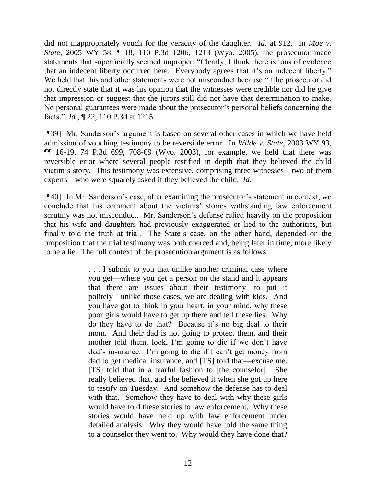did not inappropriately vouch for the veracity of the daughter. *Id.* at 912. In *Moe v. State*, 2005 WY 58, ¶ 18, 110 P.3d 1206, 1213 (Wyo. 2005), the prosecutor made statements that superficially seemed improper: "Clearly, I think there is tons of evidence that an indecent liberty occurred here. Everybody agrees that it's an indecent liberty." We held that this and other statements were not misconduct because "[t]he prosecutor did not directly state that it was his opinion that the witnesses were credible nor did he give that impression or suggest that the jurors still did not have that determination to make. No personal guarantees were made about the prosecutor"s personal beliefs concerning the facts." *Id.*, ¶ 22, 110 P.3d at 1215.

[¶39] Mr. Sanderson"s argument is based on several other cases in which we have held admission of vouching testimony to be reversible error. In *Wilde v. State*, 2003 WY 93,  $\P$ [ 16-19, 74 P.3d 699, 708-09 (Wyo. 2003), for example, we held that there was reversible error where several people testified in depth that they believed the child victim"s story. This testimony was extensive, comprising three witnesses—two of them experts—who were squarely asked if they believed the child. *Id.*

[¶40] In Mr. Sanderson's case, after examining the prosecutor's statement in context, we conclude that his comment about the victims' stories withstanding law enforcement scrutiny was not misconduct. Mr. Sanderson's defense relied heavily on the proposition that his wife and daughters had previously exaggerated or lied to the authorities, but finally told the truth at trial. The State's case, on the other hand, depended on the proposition that the trial testimony was both coerced and, being later in time, more likely to be a lie. The full context of the prosecution argument is as follows:

> . . . I submit to you that unlike another criminal case where you get—where you get a person on the stand and it appears that there are issues about their testimony—to put it politely—unlike those cases, we are dealing with kids. And you have got to think in your heart, in your mind, why these poor girls would have to get up there and tell these lies. Why do they have to do that? Because it's no big deal to their mom. And their dad is not going to protect them, and their mother told them, look, I"m going to die if we don"t have dad"s insurance. I"m going to die if I can"t get money from dad to get medical insurance, and [TS] told that—excuse me. [TS] told that in a tearful fashion to [the counselor]. She really believed that, and she believed it when she got up here to testify on Tuesday. And somehow the defense has to deal with that. Somehow they have to deal with why these girls would have told these stories to law enforcement. Why these stories would have held up with law enforcement under detailed analysis. Why they would have told the same thing to a counselor they went to. Why would they have done that?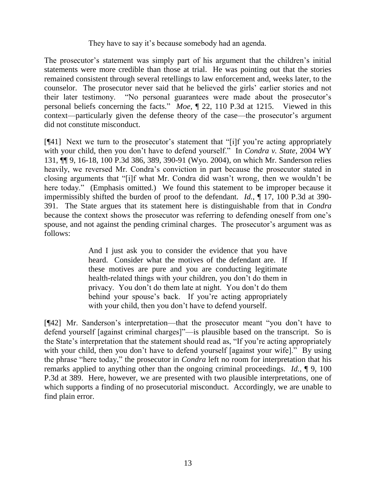## They have to say it's because somebody had an agenda.

The prosecutor's statement was simply part of his argument that the children's initial statements were more credible than those at trial. He was pointing out that the stories remained consistent through several retellings to law enforcement and, weeks later, to the counselor. The prosecutor never said that he believed the girls' earlier stories and not their later testimony. "No personal guarantees were made about the prosecutor's personal beliefs concerning the facts." *Moe*, ¶ 22, 110 P.3d at 1215. Viewed in this context—particularly given the defense theory of the case—the prosecutor's argument did not constitute misconduct.

 $[$ [41] Next we turn to the prosecutor's statement that "[i]f you're acting appropriately with your child, then you don"t have to defend yourself." In *Condra v. State*, 2004 WY 131, ¶¶ 9, 16-18, 100 P.3d 386, 389, 390-91 (Wyo. 2004), on which Mr. Sanderson relies heavily, we reversed Mr. Condra's conviction in part because the prosecutor stated in closing arguments that "[i]f what Mr. Condra did wasn"t wrong, then we wouldn"t be here today." (Emphasis omitted.) We found this statement to be improper because it impermissibly shifted the burden of proof to the defendant. *Id.*, ¶ 17, 100 P.3d at 390- 391. The State argues that its statement here is distinguishable from that in *Condra* because the context shows the prosecutor was referring to defending oneself from one's spouse, and not against the pending criminal charges. The prosecutor's argument was as follows:

> And I just ask you to consider the evidence that you have heard. Consider what the motives of the defendant are. If these motives are pure and you are conducting legitimate health-related things with your children, you don"t do them in privacy. You don"t do them late at night. You don"t do them behind your spouse's back. If you're acting appropriately with your child, then you don't have to defend yourself.

[¶42] Mr. Sanderson"s interpretation—that the prosecutor meant "you don"t have to defend yourself [against criminal charges]"—is plausible based on the transcript. So is the State"s interpretation that the statement should read as, "If you"re acting appropriately with your child, then you don't have to defend yourself [against your wife]." By using the phrase "here today," the prosecutor in *Condra* left no room for interpretation that his remarks applied to anything other than the ongoing criminal proceedings. *Id.*, ¶ 9, 100 P.3d at 389. Here, however, we are presented with two plausible interpretations, one of which supports a finding of no prosecutorial misconduct. Accordingly, we are unable to find plain error.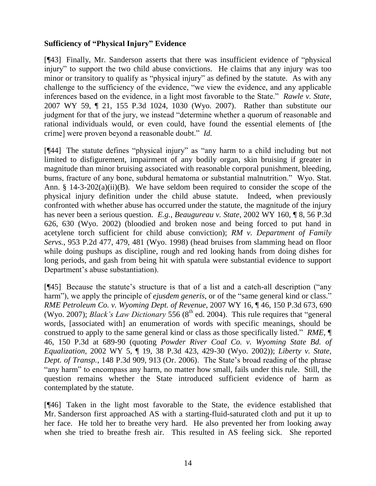# **Sufficiency of "Physical Injury" Evidence**

[¶43] Finally, Mr. Sanderson asserts that there was insufficient evidence of "physical injury" to support the two child abuse convictions. He claims that any injury was too minor or transitory to qualify as "physical injury" as defined by the statute. As with any challenge to the sufficiency of the evidence, "we view the evidence, and any applicable inferences based on the evidence, in a light most favorable to the State." *Rawle v. State*, 2007 WY 59, ¶ 21, 155 P.3d 1024, 1030 (Wyo. 2007). Rather than substitute our judgment for that of the jury, we instead "determine whether a quorum of reasonable and rational individuals would, or even could, have found the essential elements of [the crime] were proven beyond a reasonable doubt." *Id.*

[¶44] The statute defines "physical injury" as "any harm to a child including but not limited to disfigurement, impairment of any bodily organ, skin bruising if greater in magnitude than minor bruising associated with reasonable corporal punishment, bleeding, burns, fracture of any bone, subdural hematoma or substantial malnutrition." Wyo. Stat. Ann. § 14-3-202(a)(ii)(B). We have seldom been required to consider the scope of the physical injury definition under the child abuse statute. Indeed, when previously confronted with whether abuse has occurred under the statute, the magnitude of the injury has never been a serious question. *E.g.*, *Beaugureau v. State*, 2002 WY 160, ¶ 8, 56 P.3d 626, 630 (Wyo. 2002) (bloodied and broken nose and being forced to put hand in acetylene torch sufficient for child abuse conviction); *RM v. Department of Family Servs.*, 953 P.2d 477, 479, 481 (Wyo. 1998) (head bruises from slamming head on floor while doing pushups as discipline, rough and red looking hands from doing dishes for long periods, and gash from being hit with spatula were substantial evidence to support Department's abuse substantiation).

[¶45] Because the statute"s structure is that of a list and a catch-all description ("any harm"), we apply the principle of *ejusdem generis*, or of the "same general kind or class." *RME Petroleum Co. v. Wyoming Dept. of Revenue*, 2007 WY 16, ¶ 46, 150 P.3d 673, 690 (Wyo. 2007); *Black's Law Dictionary* 556 ( $8<sup>th</sup>$  ed. 2004). This rule requires that "general words, [associated with] an enumeration of words with specific meanings, should be construed to apply to the same general kind or class as those specifically listed." *RME*, ¶ 46, 150 P.3d at 689-90 (quoting *Powder River Coal Co. v. Wyoming State Bd. of Equalization*, 2002 WY 5, ¶ 19, 38 P.3d 423, 429-30 (Wyo. 2002)); *Liberty v. State, Dept. of Transp.*, 148 P.3d 909, 913 (Or. 2006). The State's broad reading of the phrase "any harm" to encompass any harm, no matter how small, fails under this rule. Still, the question remains whether the State introduced sufficient evidence of harm as contemplated by the statute.

[¶46] Taken in the light most favorable to the State, the evidence established that Mr. Sanderson first approached AS with a starting-fluid-saturated cloth and put it up to her face. He told her to breathe very hard. He also prevented her from looking away when she tried to breathe fresh air. This resulted in AS feeling sick. She reported